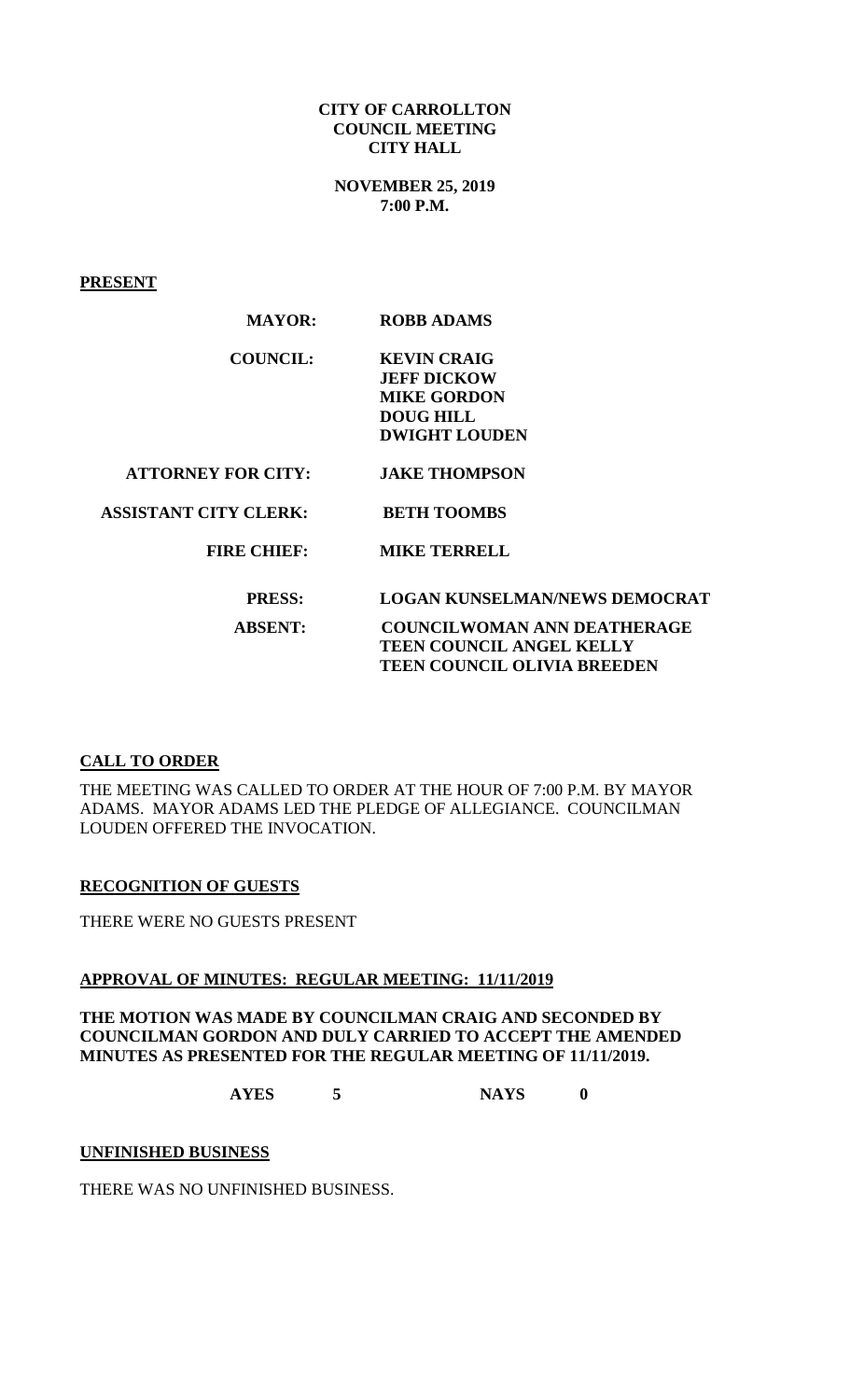### **CITY OF CARROLLTON COUNCIL MEETING CITY HALL**

**NOVEMBER 25, 2019 7:00 P.M.**

**PRESENT**

| <b>ROBB ADAMS</b>                                                                                          |
|------------------------------------------------------------------------------------------------------------|
| <b>KEVIN CRAIG</b><br><b>JEFF DICKOW</b><br><b>MIKE GORDON</b><br><b>DOUG HILL</b><br><b>DWIGHT LOUDEN</b> |
| <b>JAKE THOMPSON</b>                                                                                       |
| <b>BETH TOOMBS</b>                                                                                         |
| <b>MIKE TERRELL</b>                                                                                        |
| <b>LOGAN KUNSELMAN/NEWS DEMOCRAT</b>                                                                       |
| <b>COUNCILWOMAN ANN DEATHERAGE</b><br>TEEN COUNCIL ANGEL KELLY<br><b>TEEN COUNCIL OLIVIA BREEDEN</b>       |
|                                                                                                            |

## **CALL TO ORDER**

THE MEETING WAS CALLED TO ORDER AT THE HOUR OF 7:00 P.M. BY MAYOR ADAMS. MAYOR ADAMS LED THE PLEDGE OF ALLEGIANCE. COUNCILMAN LOUDEN OFFERED THE INVOCATION.

### **RECOGNITION OF GUESTS**

THERE WERE NO GUESTS PRESENT

### **APPROVAL OF MINUTES: REGULAR MEETING: 11/11/2019**

### **THE MOTION WAS MADE BY COUNCILMAN CRAIG AND SECONDED BY COUNCILMAN GORDON AND DULY CARRIED TO ACCEPT THE AMENDED MINUTES AS PRESENTED FOR THE REGULAR MEETING OF 11/11/2019.**

**AYES 5 NAYS 0**

### **UNFINISHED BUSINESS**

THERE WAS NO UNFINISHED BUSINESS.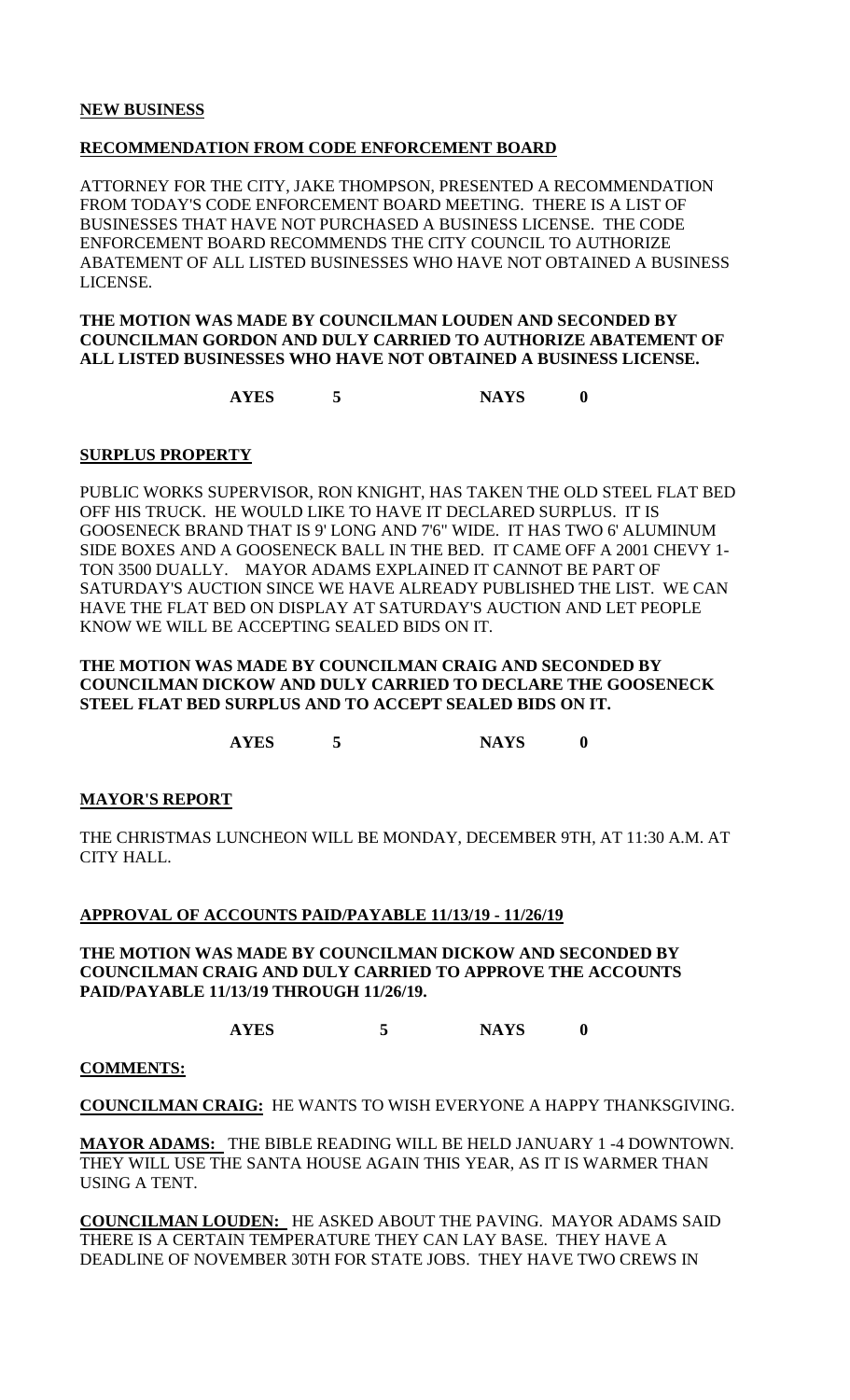### **NEW BUSINESS**

### **RECOMMENDATION FROM CODE ENFORCEMENT BOARD**

ATTORNEY FOR THE CITY, JAKE THOMPSON, PRESENTED A RECOMMENDATION FROM TODAY'S CODE ENFORCEMENT BOARD MEETING. THERE IS A LIST OF BUSINESSES THAT HAVE NOT PURCHASED A BUSINESS LICENSE. THE CODE ENFORCEMENT BOARD RECOMMENDS THE CITY COUNCIL TO AUTHORIZE ABATEMENT OF ALL LISTED BUSINESSES WHO HAVE NOT OBTAINED A BUSINESS LICENSE.

**THE MOTION WAS MADE BY COUNCILMAN LOUDEN AND SECONDED BY COUNCILMAN GORDON AND DULY CARRIED TO AUTHORIZE ABATEMENT OF ALL LISTED BUSINESSES WHO HAVE NOT OBTAINED A BUSINESS LICENSE.**

**AYES 5 NAYS 0**

#### **SURPLUS PROPERTY**

PUBLIC WORKS SUPERVISOR, RON KNIGHT, HAS TAKEN THE OLD STEEL FLAT BED OFF HIS TRUCK. HE WOULD LIKE TO HAVE IT DECLARED SURPLUS. IT IS GOOSENECK BRAND THAT IS 9' LONG AND 7'6" WIDE. IT HAS TWO 6' ALUMINUM SIDE BOXES AND A GOOSENECK BALL IN THE BED. IT CAME OFF A 2001 CHEVY 1- TON 3500 DUALLY. MAYOR ADAMS EXPLAINED IT CANNOT BE PART OF SATURDAY'S AUCTION SINCE WE HAVE ALREADY PUBLISHED THE LIST. WE CAN HAVE THE FLAT BED ON DISPLAY AT SATURDAY'S AUCTION AND LET PEOPLE KNOW WE WILL BE ACCEPTING SEALED BIDS ON IT.

### **THE MOTION WAS MADE BY COUNCILMAN CRAIG AND SECONDED BY COUNCILMAN DICKOW AND DULY CARRIED TO DECLARE THE GOOSENECK STEEL FLAT BED SURPLUS AND TO ACCEPT SEALED BIDS ON IT.**

**AYES 5 NAYS 0**

### **MAYOR'S REPORT**

THE CHRISTMAS LUNCHEON WILL BE MONDAY, DECEMBER 9TH, AT 11:30 A.M. AT CITY HALL.

### **APPROVAL OF ACCOUNTS PAID/PAYABLE 11/13/19 - 11/26/19**

**THE MOTION WAS MADE BY COUNCILMAN DICKOW AND SECONDED BY COUNCILMAN CRAIG AND DULY CARRIED TO APPROVE THE ACCOUNTS PAID/PAYABLE 11/13/19 THROUGH 11/26/19.**

**AYES 5 NAYS 0**

#### **COMMENTS:**

**COUNCILMAN CRAIG:** HE WANTS TO WISH EVERYONE A HAPPY THANKSGIVING.

**MAYOR ADAMS:** THE BIBLE READING WILL BE HELD JANUARY 1 -4 DOWNTOWN. THEY WILL USE THE SANTA HOUSE AGAIN THIS YEAR, AS IT IS WARMER THAN USING A TENT.

**COUNCILMAN LOUDEN:** HE ASKED ABOUT THE PAVING. MAYOR ADAMS SAID THERE IS A CERTAIN TEMPERATURE THEY CAN LAY BASE. THEY HAVE A DEADLINE OF NOVEMBER 30TH FOR STATE JOBS. THEY HAVE TWO CREWS IN